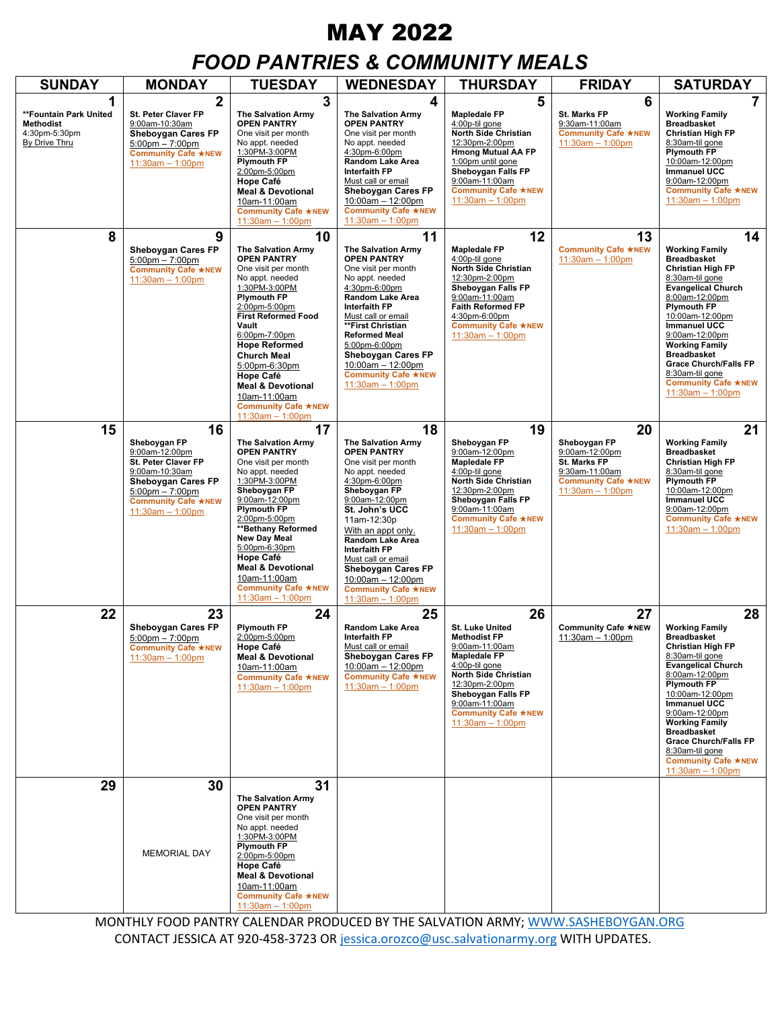# MAY 2022

## *FOOD PANTRIES & COMMUNITY MEALS*

| <b>SUNDAY</b>                                                                     | <b>MONDAY</b>                                                                                                                                                                                | <b>TUESDAY</b>                                                                                                                                                                                                                                                                                                                                                                                       | <b>WEDNESDAY</b>                                                                                                                                                                                                                                                                                                                                                                         | <b>THURSDAY</b>                                                                                                                                                                                                                                      | <b>FRIDAY</b>                                                                                                              | <b>SATURDAY</b>                                                                                                                                                                                                                                                                                                                                                                         |
|-----------------------------------------------------------------------------------|----------------------------------------------------------------------------------------------------------------------------------------------------------------------------------------------|------------------------------------------------------------------------------------------------------------------------------------------------------------------------------------------------------------------------------------------------------------------------------------------------------------------------------------------------------------------------------------------------------|------------------------------------------------------------------------------------------------------------------------------------------------------------------------------------------------------------------------------------------------------------------------------------------------------------------------------------------------------------------------------------------|------------------------------------------------------------------------------------------------------------------------------------------------------------------------------------------------------------------------------------------------------|----------------------------------------------------------------------------------------------------------------------------|-----------------------------------------------------------------------------------------------------------------------------------------------------------------------------------------------------------------------------------------------------------------------------------------------------------------------------------------------------------------------------------------|
| 1<br>**Fountain Park United<br><b>Methodist</b><br>4:30pm-5:30pm<br>By Drive Thru | $\overline{2}$<br>St. Peter Claver FP<br>9:00am-10:30am<br>Sheboygan Cares FP<br>$5:00 \text{pm} - 7:00 \text{pm}$<br><b>Community Cafe ★NEW</b><br>$11:30am - 1:00pm$                       | 3<br><b>The Salvation Army</b><br><b>OPEN PANTRY</b><br>One visit per month<br>No appt. needed<br>1:30PM-3:00PM<br><b>Plymouth FP</b><br>2:00pm-5:00pm<br>Hope Café<br><b>Meal &amp; Devotional</b><br>10am-11:00am<br><b>Community Cafe ★NEW</b><br>$11:30am - 1:00pm$                                                                                                                              | 4<br><b>The Salvation Armv</b><br><b>OPEN PANTRY</b><br>One visit per month<br>No appt. needed<br>4:30pm-6:00pm<br><b>Random Lake Area</b><br><b>Interfaith FP</b><br>Must call or email<br>Sheboygan Cares FP<br>$10:00$ am $- 12:00$ pm<br><b>Community Cafe ★NEW</b><br>$11:30am - 1:00pm$                                                                                            | 5<br><b>Mapledale FP</b><br>4:00p-til gone<br>North Side Christian<br>12:30pm-2:00pm<br><b>Hmong Mutual AA FP</b><br>1:00pm until gone<br>Sheboygan Falls FP<br>9:00am-11:00am<br><b>Community Cafe ★NEW</b><br>$11:30am - 1:00pm$                   | 6<br>St. Marks FP<br>9:30am-11:00am<br><b>Community Cafe ★NEW</b><br>$11:30am - 1:00pm$                                    | $\overline{7}$<br><b>Working Family</b><br><b>Breadbasket</b><br><b>Christian High FP</b><br>8:30am-til gone<br><b>Plymouth FP</b><br>10:00am-12:00pm<br><b>Immanuel UCC</b><br>9:00am-12:00pm<br><b>Community Cafe ★NEW</b><br>$11:30am - 1:00pm$                                                                                                                                      |
| 8                                                                                 | 9<br><b>Sheboygan Cares FP</b><br>$5:00 \text{pm} - 7:00 \text{pm}$<br><b>Community Cafe ★NEW</b><br>11:30am - 1:00pm                                                                        | 10<br><b>The Salvation Army</b><br><b>OPEN PANTRY</b><br>One visit per month<br>No appt. needed<br>1:30PM-3:00PM<br><b>Plymouth FP</b><br>2:00pm-5:00pm<br><b>First Reformed Food</b><br>Vault<br>6:00pm-7:00pm<br><b>Hope Reformed</b><br><b>Church Meal</b><br>5:00pm-6:30pm<br><b>Hope Café</b><br><b>Meal &amp; Devotional</b><br>10am-11:00am<br><b>Community Cafe ★NEW</b><br>11:30am - 1:00pm | 11<br><b>The Salvation Army</b><br><b>OPEN PANTRY</b><br>One visit per month<br>No appt. needed<br>4:30pm-6:00pm<br>Random Lake Area<br><b>Interfaith FP</b><br>Must call or email<br>**First Christian<br><b>Reformed Meal</b><br>5:00pm-6:00pm<br>Sheboygan Cares FP<br>10:00am - 12:00pm<br><b>Community Cafe ★NEW</b><br>$11:30am - 1:00pm$                                          | 12<br><b>Mapledale FP</b><br>4:00p-til gone<br>North Side Christian<br>12:30pm-2:00pm<br>Sheboygan Falls FP<br>9:00am-11:00am<br><b>Faith Reformed FP</b><br>4:30pm-6:00pm<br><b>Community Cafe ★NEW</b><br>$11:30am - 1:00pm$                       | 13<br><b>Community Cafe ★NEW</b><br>$11:30am - 1:00pm$                                                                     | 14<br><b>Working Family</b><br><b>Breadbasket</b><br>Christian High FP<br>8:30am-til gone<br><b>Evangelical Church</b><br>8:00am-12:00pm<br><b>Plymouth FP</b><br>10:00am-12:00pm<br><b>Immanuel UCC</b><br>9:00am-12:00pm<br><b>Working Family</b><br><b>Breadbasket</b><br><b>Grace Church/Falls FP</b><br>8:30am-til gone<br><b>Community Cafe ★NEW</b><br>$11:30am - 1:00pm$        |
| 15                                                                                | 16<br>Sheboygan FP<br>9:00am-12:00pm<br>St. Peter Claver FP<br>9:00am-10:30am<br>Sheboygan Cares FP<br>$5:00 \text{pm} - 7:00 \text{pm}$<br><b>Community Cafe ★NEW</b><br>$11:30am - 1:00pm$ | 17<br><b>The Salvation Army</b><br><b>OPEN PANTRY</b><br>One visit per month<br>No appt. needed<br>1:30PM-3:00PM<br>Sheboygan FP<br>9:00am-12:00pm<br><b>Plymouth FP</b><br>2:00pm-5:00pm<br>**Bethany Reformed<br><b>New Day Meal</b><br>5:00pm-6:30pm<br><b>Hope Café</b><br><b>Meal &amp; Devotional</b><br>10am-11:00am<br><b>Community Cafe ★NEW</b><br>$11:30am - 1:00pm$                      | 18<br><b>The Salvation Army</b><br><b>OPEN PANTRY</b><br>One visit per month<br>No appt. needed<br>4:30pm-6:00pm<br>Sheboygan FP<br>9:00am-12:00pm<br>St. John's UCC<br>11am-12:30p<br>With an appt only.<br><b>Random Lake Area</b><br><b>Interfaith FP</b><br>Must call or email<br><b>Sheboygan Cares FP</b><br>10:00am - 12:00pm<br><b>Community Cafe ★NEW</b><br>$11:30am - 1:00pm$ | 19<br>Sheboygan FP<br>9:00am-12:00pm<br><b>Mapledale FP</b><br>4:00p-til gone<br><b>North Side Christian</b><br>12:30pm-2:00pm<br>Sheboygan Falls FP<br>9:00am-11:00am<br><b>Community Cafe ★NEW</b><br>$11:30am - 1:00pm$                           | 20<br>Sheboygan FP<br>9:00am-12:00pm<br>St. Marks FP<br>9:30am-11:00am<br><b>Community Cafe ★NEW</b><br>$11:30am - 1:00pm$ | 21<br><b>Working Family</b><br><b>Breadbasket</b><br><b>Christian High FP</b><br>8:30am-til gone<br><b>Plymouth FP</b><br>10:00am-12:00pm<br><b>Immanuel UCC</b><br>9:00am-12:00pm<br><b>Community Cafe ★NEW</b><br>$11:30am - 1:00pm$                                                                                                                                                  |
| 22                                                                                | 23<br><b>Sheboygan Cares FP</b><br>$5:00$ pm $-7:00$ pm<br><b>Community Cafe ★NEW</b><br>$11:30am - 1:00pm$                                                                                  | 24<br><b>Plymouth FP</b><br>2:00pm-5:00pm<br>Hope Café<br><b>Meal &amp; Devotional</b><br>10am-11:00am<br><b>Community Cafe ★NEW</b><br>$11:30am - 1:00pm$                                                                                                                                                                                                                                           | 25<br>Random Lake Area<br><b>Interfaith FP</b><br>Must call or email<br>Sheboygan Cares FP<br>10:00am - 12:00pm<br>Community Cafe *NEW<br>11:30am $- 1:00pm$                                                                                                                                                                                                                             | 26<br><b>St. Luke United</b><br><b>Methodist FP</b><br>9:00am-11:00am<br><b>Mapledale FP</b><br>4:00p-til gone<br>North Side Christian<br>12:30pm-2:00pm<br>Sheboygan Falls FP<br>9:00am-11:00am<br><b>Community Cafe ★NEW</b><br>$11:30am - 1:00pm$ | 27<br><b>Community Cafe ★NEW</b><br>$11:30am - 1:00pm$                                                                     | 28<br><b>Working Family</b><br><b>Breadbasket</b><br><b>Christian High FP</b><br>8:30am-til gone<br><b>Evangelical Church</b><br>8:00am-12:00pm<br><b>Plymouth FP</b><br>10:00am-12:00pm<br><b>Immanuel UCC</b><br>9:00am-12:00pm<br><b>Working Family</b><br><b>Breadbasket</b><br><b>Grace Church/Falls FP</b><br>8:30am-til gone<br><b>Community Cafe ★NEW</b><br>$11:30am - 1:00pm$ |
| 29                                                                                | 30<br><b>MEMORIAL DAY</b>                                                                                                                                                                    | 31<br><b>The Salvation Army</b><br><b>OPEN PANTRY</b><br>One visit per month<br>No appt. needed<br>1:30PM-3:00PM<br><b>Plymouth FP</b><br>2:00pm-5:00pm<br><b>Hope Café</b><br><b>Meal &amp; Devotional</b><br>10am-11:00am<br><b>Community Cafe ★NEW</b><br>$11:30am - 1:00pm$                                                                                                                      |                                                                                                                                                                                                                                                                                                                                                                                          |                                                                                                                                                                                                                                                      |                                                                                                                            |                                                                                                                                                                                                                                                                                                                                                                                         |

MONTHLY FOOD PANTRY CALENDAR PRODUCED BY THE SALVATION ARMY[; WWW.SASHEBOYGAN.ORG](http://www.sasheboygan.org/) CONTACT JESSICA AT 920-458-3723 OR [jessica.orozco@usc.salvationarmy.org](mailto:jessica.orozco@usc.salvationarmy.org) WITH UPDATES.